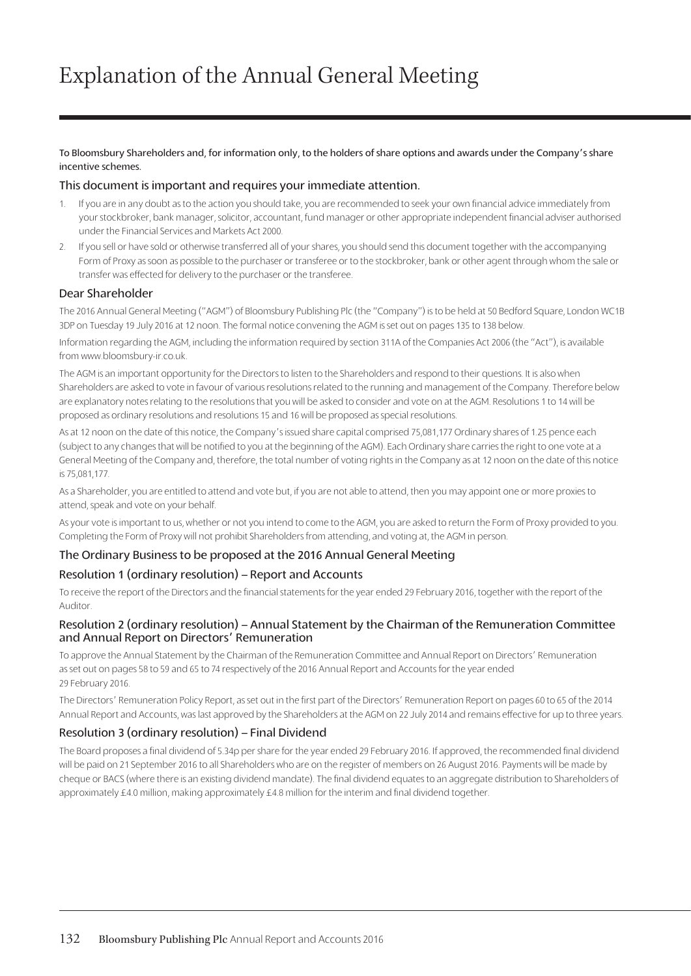To Bloomsbury Shareholders and, for information only, to the holders of share options and awards under the Company's share incentive schemes.

#### This document is important and requires your immediate attention.

- 1. If you are in any doubt as to the action you should take, you are recommended to seek your own financial advice immediately from your stockbroker, bank manager, solicitor, accountant, fund manager or other appropriate independent financial adviser authorised under the Financial Services and Markets Act 2000.
- 2. If you sell or have sold or otherwise transferred all of your shares, you should send this document together with the accompanying Form of Proxy as soon as possible to the purchaser or transferee or to the stockbroker, bank or other agent through whom the sale or transfer was effected for delivery to the purchaser or the transferee.

### Dear Shareholder

The 2016 Annual General Meeting ("AGM") of Bloomsbury Publishing Plc (the "Company") is to be held at 50 Bedford Square, London WC1B 3DP on Tuesday 19 July 2016 at 12 noon. The formal notice convening the AGM is set out on pages 135 to 138 below.

Information regarding the AGM, including the information required by section 311A of the Companies Act 2006 (the "Act"), is available from www.bloomsbury-ir.co.uk.

The AGM is an important opportunity for the Directors to listen to the Shareholders and respond to their questions. It is also when Shareholders are asked to vote in favour of various resolutions related to the running and management of the Company. Therefore below are explanatory notes relating to the resolutions that you will be asked to consider and vote on at the AGM. Resolutions 1 to 14 will be proposed as ordinary resolutions and resolutions 15 and 16 will be proposed as special resolutions.

As at 12 noon on the date of this notice, the Company's issued share capital comprised 75,081,177 Ordinary shares of 1.25 pence each (subject to any changes that will be notified to you at the beginning of the AGM). Each Ordinary share carries the right to one vote at a General Meeting of the Company and, therefore, the total number of voting rights in the Company as at 12 noon on the date of this notice is 75,081,177.

As a Shareholder, you are entitled to attend and vote but, if you are not able to attend, then you may appoint one or more proxies to attend, speak and vote on your behalf.

As your vote is important to us, whether or not you intend to come to the AGM, you are asked to return the Form of Proxy provided to you. Completing the Form of Proxy will not prohibit Shareholders from attending, and voting at, the AGM in person.

#### The Ordinary Business to be proposed at the 2016 Annual General Meeting

## Resolution 1 (ordinary resolution) – Report and Accounts

To receive the report of the Directors and the financial statements for the year ended 29 February 2016, together with the report of the Auditor.

#### Resolution 2 (ordinary resolution) – Annual Statement by the Chairman of the Remuneration Committee and Annual Report on Directors' Remuneration

To approve the Annual Statement by the Chairman of the Remuneration Committee and Annual Report on Directors' Remuneration as set out on pages 58 to 59 and 65 to 74 respectively of the 2016 Annual Report and Accounts for the year ended 29 February 2016.

The Directors' Remuneration Policy Report, as set out in the first part of the Directors' Remuneration Report on pages 60 to 65 of the 2014 Annual Report and Accounts, was last approved by the Shareholders at the AGM on 22 July 2014 and remains effective for up to three years.

## Resolution 3 (ordinary resolution) – Final Dividend

The Board proposes a final dividend of 5.34p per share for the year ended 29 February 2016. If approved, the recommended final dividend will be paid on 21 September 2016 to all Shareholders who are on the register of members on 26 August 2016. Payments will be made by cheque or BACS (where there is an existing dividend mandate). The final dividend equates to an aggregate distribution to Shareholders of approximately £4.0 million, making approximately £4.8 million for the interim and final dividend together.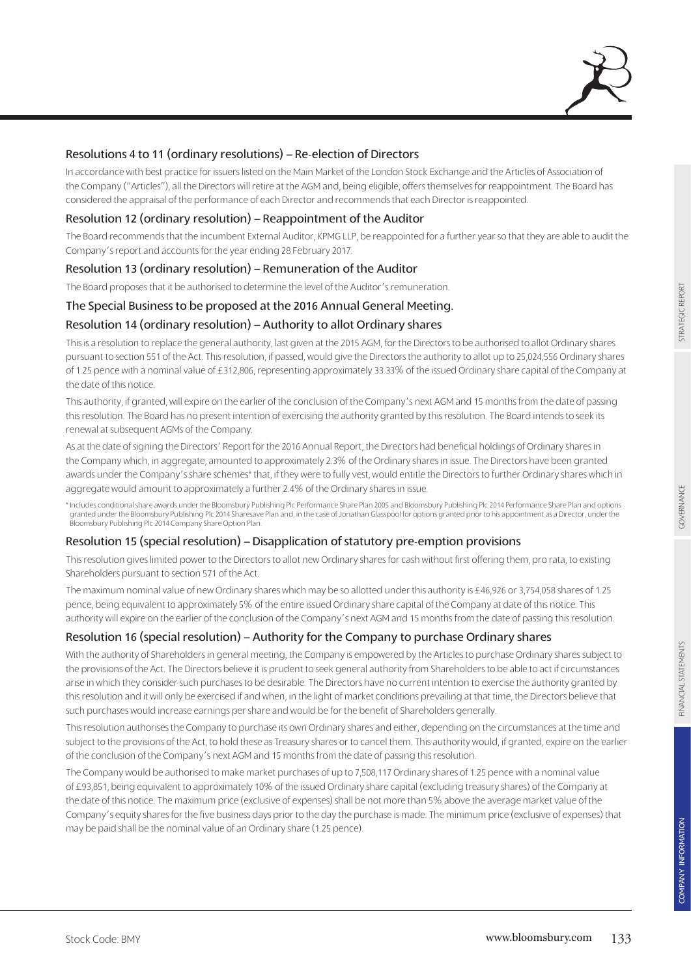## Resolutions 4 to 11 (ordinary resolutions) – Re-election of Directors

In accordance with best practice for issuers listed on the Main Market of the London Stock Exchange and the Articles of Association of the Company ("Articles"), all the Directors will retire at the AGM and, being eligible, offers themselves for reappointment. The Board has considered the appraisal of the performance of each Director and recommends that each Director is reappointed.

## Resolution 12 (ordinary resolution) – Reappointment of the Auditor

The Board recommends that the incumbent External Auditor, KPMG LLP, be reappointed for a further year so that they are able to audit the Company's report and accounts for the year ending 28 February 2017.

## Resolution 13 (ordinary resolution) – Remuneration of the Auditor

The Board proposes that it be authorised to determine the level of the Auditor's remuneration.

## The Special Business to be proposed at the 2016 Annual General Meeting.

## Resolution 14 (ordinary resolution) – Authority to allot Ordinary shares

This is a resolution to replace the general authority, last given at the 2015 AGM, for the Directors to be authorised to allot Ordinary shares pursuant to section 551 of the Act. This resolution, if passed, would give the Directors the authority to allot up to 25,024,556 Ordinary shares of 1.25 pence with a nominal value of £312,806, representing approximately 33.33% of the issued Ordinary share capital of the Company at the date of this notice.

This authority, if granted, will expire on the earlier of the conclusion of the Company's next AGM and 15 months from the date of passing this resolution. The Board has no present intention of exercising the authority granted by this resolution. The Board intends to seek its renewal at subsequent AGMs of the Company.

As at the date of signing the Directors' Report for the 2016 Annual Report, the Directors had beneficial holdings of Ordinary shares in the Company which, in aggregate, amounted to approximately 2.3% of the Ordinary shares in issue. The Directors have been granted awards under the Company's share schemes\* that, if they were to fully vest, would entitle the Directors to further Ordinary shares which in aggregate would amount to approximately a further 2.4% of the Ordinary shares in issue.

\* Includes conditional share awards under the Bloomsbury Publishing Plc Performance Share Plan 2005 and Bloomsbury Publishing Plc 2014 Performance Share Plan and options granted under the Bloomsbury Publishing Plc 2014 Sharesave Plan and, in the case of Jonathan Glasspool for options granted prior to his appointment as a Director, under the Bloomsbury Publishing Plc 2014 Company Share Option Plan.

## Resolution 15 (special resolution) – Disapplication of statutory pre-emption provisions

This resolution gives limited power to the Directors to allot new Ordinary shares for cash without first offering them, pro rata, to existing Shareholders pursuant to section 571 of the Act.

The maximum nominal value of new Ordinary shares which may be so allotted under this authority is £46,926 or 3,754,058 shares of 1.25 pence, being equivalent to approximately 5% of the entire issued Ordinary share capital of the Company at date of this notice. This authority will expire on the earlier of the conclusion of the Company's next AGM and 15 months from the date of passing this resolution.

## Resolution 16 (special resolution) – Authority for the Company to purchase Ordinary shares

With the authority of Shareholders in general meeting, the Company is empowered by the Articles to purchase Ordinary shares subject to the provisions of the Act. The Directors believe it is prudent to seek general authority from Shareholders to be able to act if circumstances arise in which they consider such purchases to be desirable. The Directors have no current intention to exercise the authority granted by this resolution and it will only be exercised if and when, in the light of market conditions prevailing at that time, the Directors believe that such purchases would increase earnings per share and would be for the benefit of Shareholders generally.

This resolution authorises the Company to purchase its own Ordinary shares and either, depending on the circumstances at the time and subject to the provisions of the Act, to hold these as Treasury shares or to cancel them. This authority would, if granted, expire on the earlier of the conclusion of the Company's next AGM and 15 months from the date of passing this resolution.

The Company would be authorised to make market purchases of up to 7,508,117 Ordinary shares of 1.25 pence with a nominal value of £93,851, being equivalent to approximately 10% of the issued Ordinary share capital (excluding treasury shares) of the Company at the date of this notice. The maximum price (exclusive of expenses) shall be not more than 5% above the average market value of the Company's equity shares for the five business days prior to the day the purchase is made. The minimum price (exclusive of expenses) that may be paid shall be the nominal value of an Ordinary share (1.25 pence).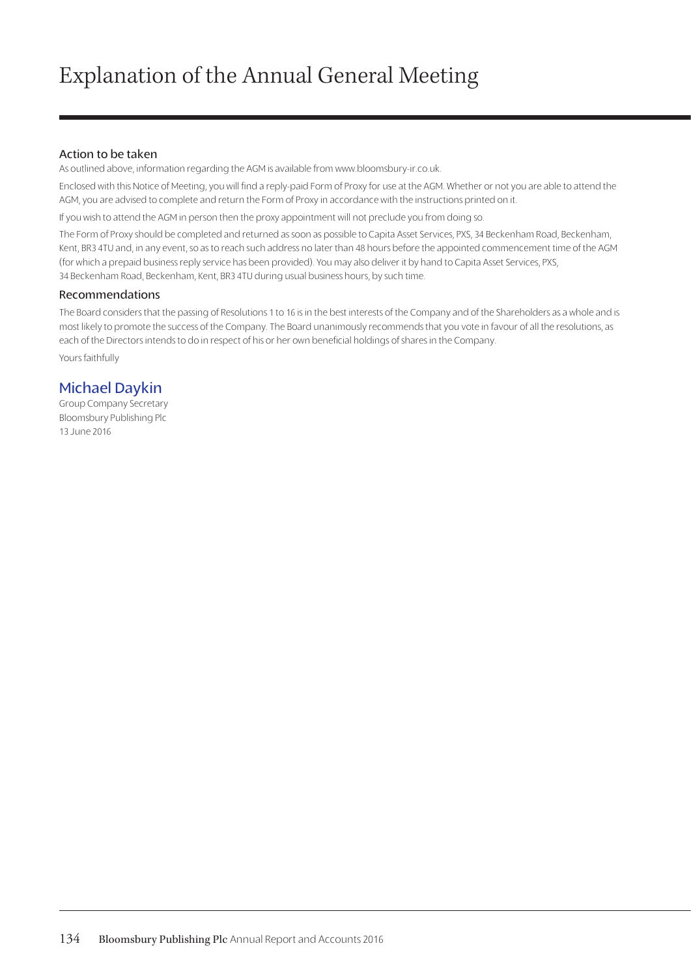## Action to be taken

As outlined above, information regarding the AGM is available from www.bloomsbury-ir.co.uk.

Enclosed with this Notice of Meeting, you will find a reply-paid Form of Proxy for use at the AGM. Whether or not you are able to attend the AGM, you are advised to complete and return the Form of Proxy in accordance with the instructions printed on it.

If you wish to attend the AGM in person then the proxy appointment will not preclude you from doing so.

The Form of Proxy should be completed and returned as soon as possible to Capita Asset Services, PXS, 34 Beckenham Road, Beckenham, Kent, BR3 4TU and, in any event, so as to reach such address no later than 48 hours before the appointed commencement time of the AGM (for which a prepaid business reply service has been provided). You may also deliver it by hand to Capita Asset Services, PXS, 34 Beckenham Road, Beckenham, Kent, BR3 4TU during usual business hours, by such time.

### Recommendations

The Board considers that the passing of Resolutions 1 to 16 is in the best interests of the Company and of the Shareholders as a whole and is most likely to promote the success of the Company. The Board unanimously recommends that you vote in favour of all the resolutions, as each of the Directors intends to do in respect of his or her own beneficial holdings of shares in the Company.

Yours faithfully

## Michael Daykin

Group Company Secretary Bloomsbury Publishing Plc 13 June 2016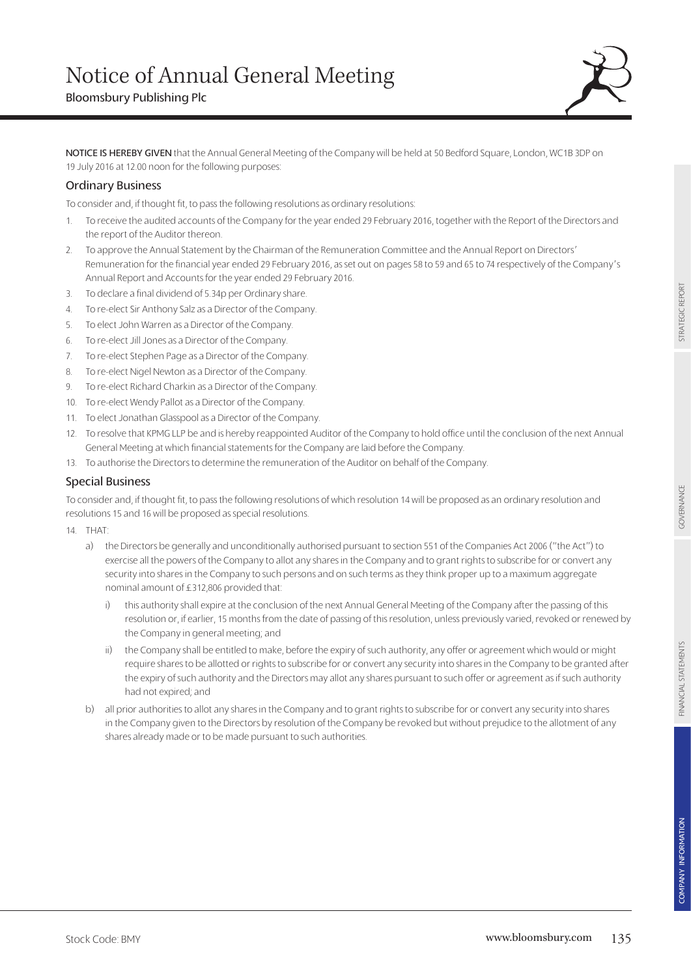

NOTICE IS HEREBY GIVEN that the Annual General Meeting of the Company will be held at 50 Bedford Square, London, WC1B 3DP on 19 July 2016 at 12.00 noon for the following purposes:

## Ordinary Business

To consider and, if thought fit, to pass the following resolutions as ordinary resolutions:

- 1. To receive the audited accounts of the Company for the year ended 29 February 2016, together with the Report of the Directors and the report of the Auditor thereon.
- 2. To approve the Annual Statement by the Chairman of the Remuneration Committee and the Annual Report on Directors' Remuneration for the financial year ended 29 February 2016, as set out on pages 58 to 59 and 65 to 74 respectively of the Company's Annual Report and Accounts for the year ended 29 February 2016.
- 3. To declare a final dividend of 5.34p per Ordinary share.
- 4. To re-elect Sir Anthony Salz as a Director of the Company.
- 5. To elect John Warren as a Director of the Company.
- 6. To re-elect Jill Jones as a Director of the Company.
- 7. To re-elect Stephen Page as a Director of the Company.
- 8. To re-elect Nigel Newton as a Director of the Company.
- 9. To re-elect Richard Charkin as a Director of the Company.
- 10. To re-elect Wendy Pallot as a Director of the Company.
- 11. To elect Jonathan Glasspool as a Director of the Company.
- 12. To resolve that KPMG LLP be and is hereby reappointed Auditor of the Company to hold office until the conclusion of the next Annual General Meeting at which financial statements for the Company are laid before the Company.
- 13. To authorise the Directors to determine the remuneration of the Auditor on behalf of the Company.

## Special Business

To consider and, if thought fit, to pass the following resolutions of which resolution 14 will be proposed as an ordinary resolution and resolutions 15 and 16 will be proposed as special resolutions.

- 14. THAT:
	- a) the Directors be generally and unconditionally authorised pursuant to section 551 of the Companies Act 2006 ("the Act") to exercise all the powers of the Company to allot any shares in the Company and to grant rights to subscribe for or convert any security into shares in the Company to such persons and on such terms as they think proper up to a maximum aggregate nominal amount of £312,806 provided that:
		- i) this authority shall expire at the conclusion of the next Annual General Meeting of the Company after the passing of this resolution or, if earlier, 15 months from the date of passing of this resolution, unless previously varied, revoked or renewed by the Company in general meeting; and
		- ii) the Company shall be entitled to make, before the expiry of such authority, any offer or agreement which would or might require shares to be allotted or rights to subscribe for or convert any security into shares in the Company to be granted after the expiry of such authority and the Directors may allot any shares pursuant to such offer or agreement as if such authority had not expired; and
	- b) all prior authorities to allot any shares in the Company and to grant rights to subscribe for or convert any security into shares in the Company given to the Directors by resolution of the Company be revoked but without prejudice to the allotment of any shares already made or to be made pursuant to such authorities.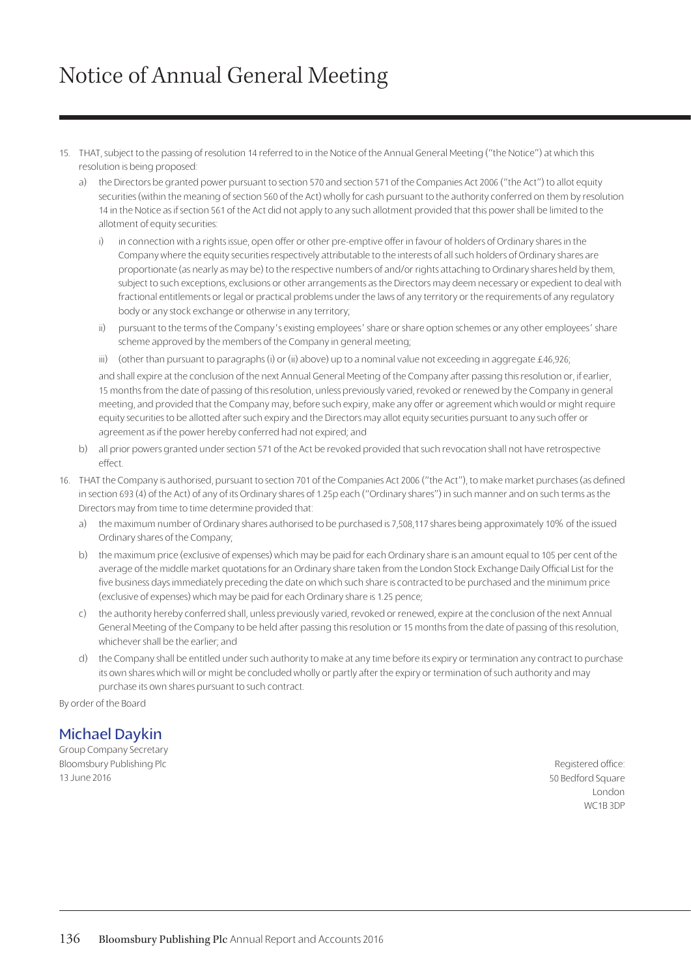# Notice of Annual General Meeting

- 15. THAT, subject to the passing of resolution 14 referred to in the Notice of the Annual General Meeting ("the Notice") at which this resolution is being proposed:
	- a) the Directors be granted power pursuant to section 570 and section 571 of the Companies Act 2006 ("the Act") to allot equity securities (within the meaning of section 560 of the Act) wholly for cash pursuant to the authority conferred on them by resolution 14 in the Notice as if section 561 of the Act did not apply to any such allotment provided that this power shall be limited to the allotment of equity securities:
		- i) in connection with a rights issue, open offer or other pre-emptive offer in favour of holders of Ordinary shares in the Company where the equity securities respectively attributable to the interests of all such holders of Ordinary shares are proportionate (as nearly as may be) to the respective numbers of and/or rights attaching to Ordinary shares held by them, subject to such exceptions, exclusions or other arrangements as the Directors may deem necessary or expedient to deal with fractional entitlements or legal or practical problems under the laws of any territory or the requirements of any regulatory body or any stock exchange or otherwise in any territory;
		- ii) pursuant to the terms of the Company's existing employees' share or share option schemes or any other employees' share scheme approved by the members of the Company in general meeting;
		- iii) (other than pursuant to paragraphs (i) or (ii) above) up to a nominal value not exceeding in aggregate  $\pm 46,926$ ;

and shall expire at the conclusion of the next Annual General Meeting of the Company after passing this resolution or, if earlier, 15 months from the date of passing of this resolution, unless previously varied, revoked or renewed by the Company in general meeting, and provided that the Company may, before such expiry, make any offer or agreement which would or might require equity securities to be allotted after such expiry and the Directors may allot equity securities pursuant to any such offer or agreement as if the power hereby conferred had not expired; and

- b) all prior powers granted under section 571 of the Act be revoked provided that such revocation shall not have retrospective effect.
- 16. THAT the Company is authorised, pursuant to section 701 of the Companies Act 2006 ("the Act"), to make market purchases (as defined in section 693 (4) of the Act) of any of its Ordinary shares of 1.25p each ("Ordinary shares") in such manner and on such terms as the Directors may from time to time determine provided that:
	- a) the maximum number of Ordinary shares authorised to be purchased is 7,508,117 shares being approximately 10% of the issued Ordinary shares of the Company;
	- b) the maximum price (exclusive of expenses) which may be paid for each Ordinary share is an amount equal to 105 per cent of the average of the middle market quotations for an Ordinary share taken from the London Stock Exchange Daily Official List for the five business days immediately preceding the date on which such share is contracted to be purchased and the minimum price (exclusive of expenses) which may be paid for each Ordinary share is 1.25 pence;
	- c) the authority hereby conferred shall, unless previously varied, revoked or renewed, expire at the conclusion of the next Annual General Meeting of the Company to be held after passing this resolution or 15 months from the date of passing of this resolution, whichever shall be the earlier; and
	- d) the Company shall be entitled under such authority to make at any time before its expiry or termination any contract to purchase its own shares which will or might be concluded wholly or partly after the expiry or termination of such authority and may purchase its own shares pursuant to such contract.

By order of the Board

## Michael Daykin

Group Company Secretary Bloomsbury Publishing Plc 13 June 2016

Registered office: 50 Bedford Square London WC1B 3DP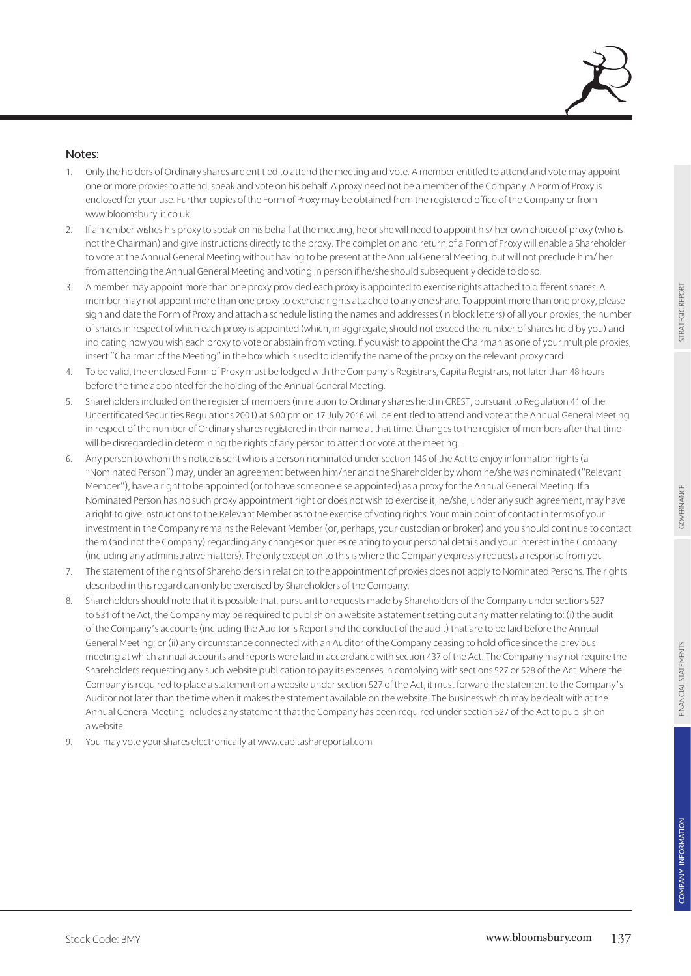

## Notes:

- 1. Only the holders of Ordinary shares are entitled to attend the meeting and vote. A member entitled to attend and vote may appoint one or more proxies to attend, speak and vote on his behalf. A proxy need not be a member of the Company. A Form of Proxy is enclosed for your use. Further copies of the Form of Proxy may be obtained from the registered office of the Company or from www.bloomsbury-ir.co.uk.
- 2. If a member wishes his proxy to speak on his behalf at the meeting, he or she will need to appoint his/ her own choice of proxy (who is not the Chairman) and give instructions directly to the proxy. The completion and return of a Form of Proxy will enable a Shareholder to vote at the Annual General Meeting without having to be present at the Annual General Meeting, but will not preclude him/ her from attending the Annual General Meeting and voting in person if he/she should subsequently decide to do so.
- 3. A member may appoint more than one proxy provided each proxy is appointed to exercise rights attached to different shares. A member may not appoint more than one proxy to exercise rights attached to any one share. To appoint more than one proxy, please sign and date the Form of Proxy and attach a schedule listing the names and addresses (in block letters) of all your proxies, the number of shares in respect of which each proxy is appointed (which, in aggregate, should not exceed the number of shares held by you) and indicating how you wish each proxy to vote or abstain from voting. If you wish to appoint the Chairman as one of your multiple proxies, insert "Chairman of the Meeting" in the box which is used to identify the name of the proxy on the relevant proxy card.
- 4. To be valid, the enclosed Form of Proxy must be lodged with the Company's Registrars, Capita Registrars, not later than 48 hours before the time appointed for the holding of the Annual General Meeting.
- 5. Shareholders included on the register of members (in relation to Ordinary shares held in CREST, pursuant to Regulation 41 of the Uncertificated Securities Regulations 2001) at 6.00 pm on 17 July 2016 will be entitled to attend and vote at the Annual General Meeting in respect of the number of Ordinary shares registered in their name at that time. Changes to the register of members after that time will be disregarded in determining the rights of any person to attend or vote at the meeting.
- 6. Any person to whom this notice is sent who is a person nominated under section 146 of the Act to enjoy information rights (a "Nominated Person") may, under an agreement between him/her and the Shareholder by whom he/she was nominated ("Relevant Member"), have a right to be appointed (or to have someone else appointed) as a proxy for the Annual General Meeting. If a Nominated Person has no such proxy appointment right or does not wish to exercise it, he/she, under any such agreement, may have a right to give instructions to the Relevant Member as to the exercise of voting rights. Your main point of contact in terms of your investment in the Company remains the Relevant Member (or, perhaps, your custodian or broker) and you should continue to contact them (and not the Company) regarding any changes or queries relating to your personal details and your interest in the Company (including any administrative matters). The only exception to this is where the Company expressly requests a response from you.
- 7. The statement of the rights of Shareholders in relation to the appointment of proxies does not apply to Nominated Persons. The rights described in this regard can only be exercised by Shareholders of the Company.
- 8. Shareholders should note that it is possible that, pursuant to requests made by Shareholders of the Company under sections 527 to 531 of the Act, the Company may be required to publish on a website a statement setting out any matter relating to: (i) the audit of the Company's accounts (including the Auditor's Report and the conduct of the audit) that are to be laid before the Annual General Meeting; or (ii) any circumstance connected with an Auditor of the Company ceasing to hold office since the previous meeting at which annual accounts and reports were laid in accordance with section 437 of the Act. The Company may not require the Shareholders requesting any such website publication to pay its expenses in complying with sections 527 or 528 of the Act. Where the Company is required to place a statement on a website under section 527 of the Act, it must forward the statement to the Company's Auditor not later than the time when it makes the statement available on the website. The business which may be dealt with at the Annual General Meeting includes any statement that the Company has been required under section 527 of the Act to publish on a website.
- 9. You may vote your shares electronically at www.capitashareportal.com